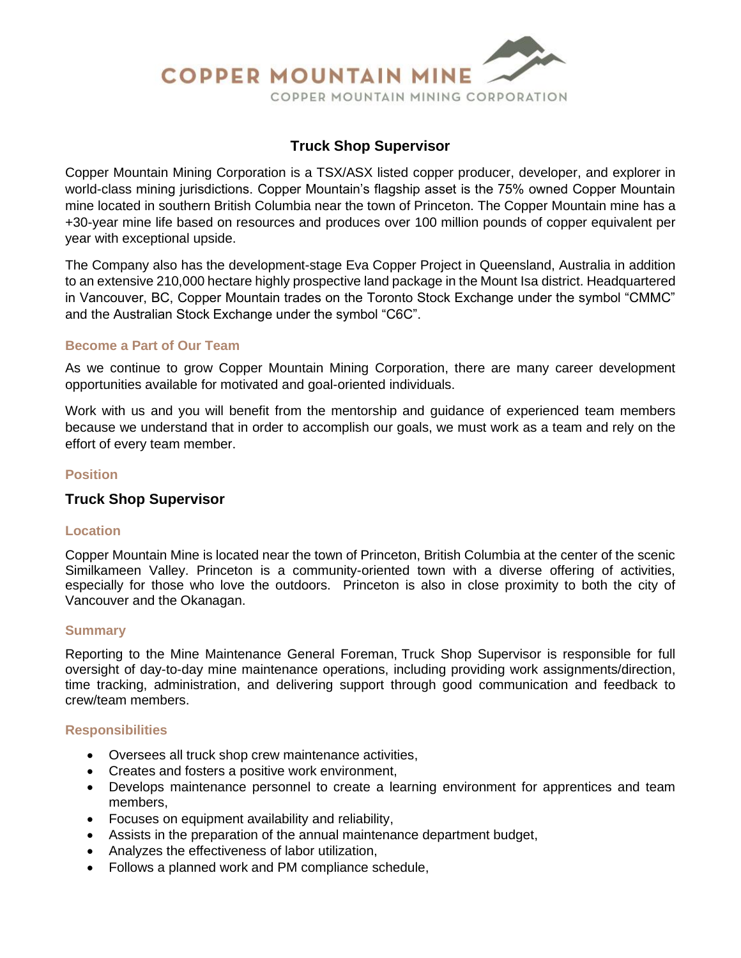

## **Truck Shop Supervisor**

Copper Mountain Mining Corporation is a TSX/ASX listed copper producer, developer, and explorer in world-class mining jurisdictions. Copper Mountain's flagship asset is the 75% owned Copper Mountain mine located in southern British Columbia near the town of Princeton. The Copper Mountain mine has a +30-year mine life based on resources and produces over 100 million pounds of copper equivalent per year with exceptional upside.

The Company also has the development-stage Eva Copper Project in Queensland, Australia in addition to an extensive 210,000 hectare highly prospective land package in the Mount Isa district. Headquartered in Vancouver, BC, Copper Mountain trades on the Toronto Stock Exchange under the symbol "CMMC" and the Australian Stock Exchange under the symbol "C6C".

### **Become a Part of Our Team**

As we continue to grow Copper Mountain Mining Corporation, there are many career development opportunities available for motivated and goal-oriented individuals.

Work with us and you will benefit from the mentorship and guidance of experienced team members because we understand that in order to accomplish our goals, we must work as a team and rely on the effort of every team member.

### **Position**

## **Truck Shop Supervisor**

#### **Location**

Copper Mountain Mine is located near the town of Princeton, British Columbia at the center of the scenic Similkameen Valley. Princeton is a community-oriented town with a diverse offering of activities, especially for those who love the outdoors. Princeton is also in close proximity to both the city of Vancouver and the Okanagan.

#### **Summary**

Reporting to the Mine Maintenance General Foreman, Truck Shop Supervisor is responsible for full oversight of day-to-day mine maintenance operations, including providing work assignments/direction, time tracking, administration, and delivering support through good communication and feedback to crew/team members.

#### **Responsibilities**

- Oversees all truck shop crew maintenance activities,
- Creates and fosters a positive work environment,
- Develops maintenance personnel to create a learning environment for apprentices and team members,
- Focuses on equipment availability and reliability,
- Assists in the preparation of the annual maintenance department budget,
- Analyzes the effectiveness of labor utilization,
- Follows a planned work and PM compliance schedule,